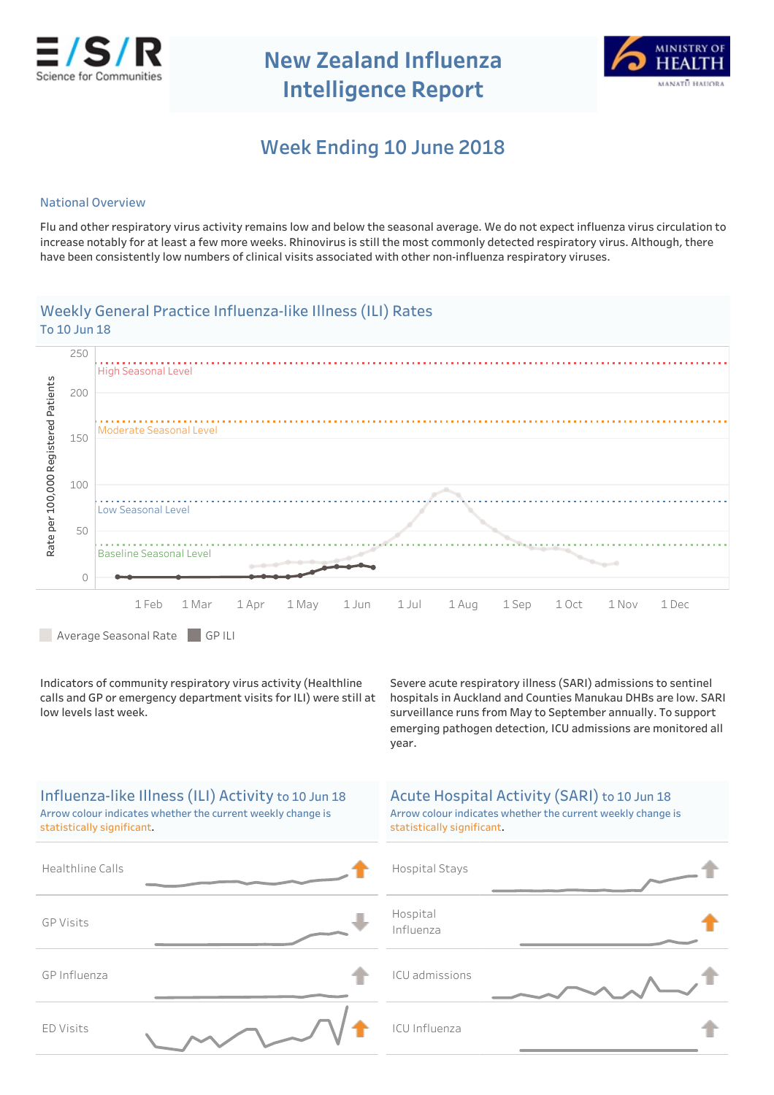

**NewZealandInfluenza Intelligence Report** 



# **WeekEnding10June2018 1**

### **National Overview**

Flu and other respiratory virus activity remains low and below the seasonal average. We do not expect influenza virus circulation to increase notably for at least a few more weeks. Rhinovirus is still the most commonly detected respiratory virus. Although, there have been consistently low numbers of clinical visits associated with other non-influenza respiratory viruses.

## Weekly General Practice Influenza-like Illness (ILI) Rates To 10 Jun 18



Average Seasonal Rate GPILI

Indicators of community respiratory virus activity (Healthline calls and GP or emergency department visits for ILI) were still at low levels last week.

Severe acute respiratory illness (SARI) admissions to sentinel hospitals in Auckland and Counties Manukau DHBs are low. SARI surveillance runs from May to September annually. To support emerging pathogen detection, ICU admissions are monitored all year.

| Influenza-like Illness (ILI) Activity to 10 Jun 18<br>Arrow colour indicates whether the current weekly change is<br>statistically significant. | Acute Hospital Activity (SARI) to 10 Jun 18<br>Arrow colour indicates whether the current weekly change is<br>statistically significant. |
|-------------------------------------------------------------------------------------------------------------------------------------------------|------------------------------------------------------------------------------------------------------------------------------------------|
| Healthline Calls                                                                                                                                | Hospital Stays                                                                                                                           |
| <b>GP Visits</b>                                                                                                                                | Hospital<br>Influenza                                                                                                                    |
| GP Influenza                                                                                                                                    | ICU admissions                                                                                                                           |
| <b>ED Visits</b>                                                                                                                                | <b>ICU Influenza</b>                                                                                                                     |